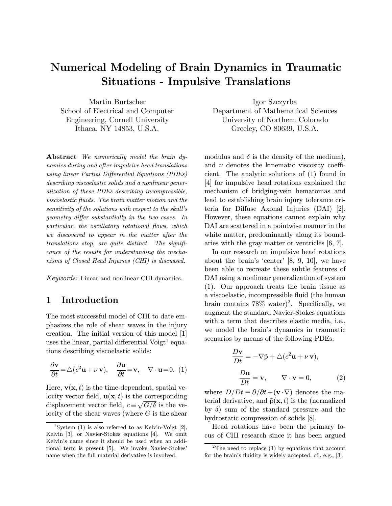# Numerical Modeling of Brain Dynamics in Traumatic Situations - Impulsive Translations

Martin Burtscher School of Electrical and Computer Engineering, Cornell University Ithaca, NY 14853, U.S.A.

Abstract We numerically model the brain dynamics during and after impulsive head translations using linear Partial Differential Equations (PDEs) describing viscoelastic solids and a nonlinear generalization of these PDEs describing incompressible, viscoelastic fluids. The brain matter motion and the sensitivity of the solutions with respect to the skull's geometry differ substantially in the two cases. In particular, the oscillatory rotational flows, which we discovered to appear in the matter after the translations stop, are quite distinct. The significance of the results for understanding the mechanisms of Closed Head Injuries (CHI) is discussed.

Keywords: Linear and nonlinear CHI dynamics.

### 1 Introduction

The most successful model of CHI to date emphasizes the role of shear waves in the injury creation. The initial version of this model [1] uses the linear, partial differential Voigt<sup>1</sup> equations describing viscoelastic solids:

$$
\frac{\partial \mathbf{v}}{\partial t} = \triangle (c^2 \mathbf{u} + \nu \mathbf{v}), \quad \frac{\partial \mathbf{u}}{\partial t} = \mathbf{v}, \quad \nabla \cdot \mathbf{u} = 0. \tag{1}
$$

Here,  $\mathbf{v}(\mathbf{x}, t)$  is the time-dependent, spatial velocity vector field,  $\mathbf{u}(\mathbf{x}, t)$  is the corresponding displacement vector field,  $c \equiv \sqrt{G/\delta}$  is the velocity of the shear waves (where  $G$  is the shear

Igor Szczyrba Department of Mathematical Sciences University of Northern Colorado Greeley, CO 80639, U.S.A.

modulus and  $\delta$  is the density of the medium), and  $\nu$  denotes the kinematic viscosity coefficient. The analytic solutions of (1) found in [4] for impulsive head rotations explained the mechanism of bridging-vein hematomas and lead to establishing brain injury tolerance criteria for Diffuse Axonal Injuries (DAI) [2]. However, these equations cannot explain why DAI are scattered in a pointwise manner in the white matter, predominantly along its boundaries with the gray matter or ventricles [6, 7].

In our research on impulsive head rotations about the brain's 'center' [8, 9, 10], we have been able to recreate these subtle features of DAI using a nonlinear generalization of system (1). Our approach treats the brain tissue as a viscoelastic, incompressible fluid (the human brain contains  $78\%$  water)<sup>2</sup>. Specifically, we augment the standard Navier-Stokes equations with a term that describes elastic media, i.e., we model the brain's dynamics in traumatic scenarios by means of the following PDEs:

$$
\frac{D\mathbf{v}}{Dt} = -\nabla \tilde{\mathbf{p}} + \triangle (c^2 \mathbf{u} + \nu \mathbf{v}),
$$
  

$$
\frac{D\mathbf{u}}{Dt} = \mathbf{v}, \qquad \nabla \cdot \mathbf{v} = 0,
$$
 (2)

where  $D/Dt \equiv \partial/\partial t + (\mathbf{v} \cdot \nabla)$  denotes the material derivative, and  $\tilde{p}(\mathbf{x}, t)$  is the (normalized by  $\delta$ ) sum of the standard pressure and the hydrostatic compression of solids [8].

Head rotations have been the primary focus of CHI research since it has been argued

<sup>&</sup>lt;sup>1</sup>System (1) is also referred to as Kelvin-Voigt [2], Kelvin [3], or Navier-Stokes equations [4]. We omit Kelvin's name since it should be used when an additional term is present [5]. We invoke Navier-Stokes' name when the full material derivative is involved.

<sup>&</sup>lt;sup>2</sup>The need to replace  $(1)$  by equations that account for the brain's fluidity is widely accepted, cf., e.g., [3].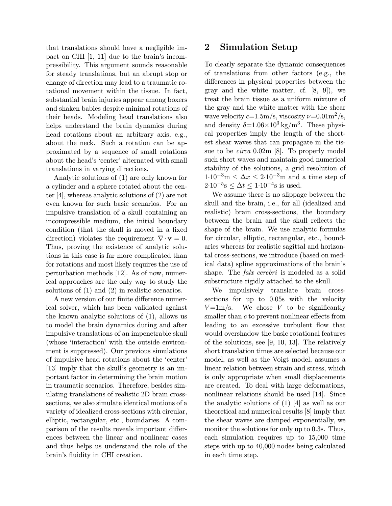that translations should have a negligible impact on CHI [1, 11] due to the brain's incompressibility. This argument sounds reasonable for steady translations, but an abrupt stop or change of direction may lead to a traumatic rotational movement within the tissue. In fact, substantial brain injuries appear among boxers and shaken babies despite minimal rotations of their heads. Modeling head translations also helps understand the brain dynamics during head rotations about an arbitrary axis, e.g., about the neck. Such a rotation can be approximated by a sequence of small rotations about the head's 'center' alternated with small translations in varying directions.

Analytic solutions of (1) are only known for a cylinder and a sphere rotated about the center [4], whereas analytic solutions of (2) are not even known for such basic scenarios. For an impulsive translation of a skull containing an incompressible medium, the initial boundary condition (that the skull is moved in a fixed direction) violates the requirement  $\nabla \cdot \mathbf{v} = 0$ . Thus, proving the existence of analytic solutions in this case is far more complicated than for rotations and most likely requires the use of perturbation methods [12]. As of now, numerical approaches are the only way to study the solutions of (1) and (2) in realistic scenarios.

A new version of our finite difference numerical solver, which has been validated against the known analytic solutions of (1), allows us to model the brain dynamics during and after impulsive translations of an impenetrable skull (whose 'interaction' with the outside environment is suppressed). Our previous simulations of impulsive head rotations about the 'center' [13] imply that the skull's geometry is an important factor in determining the brain motion in traumatic scenarios. Therefore, besides simulating translations of realistic 2D brain crosssections, we also simulate identical motions of a variety of idealized cross-sections with circular, elliptic, rectangular, etc., boundaries. A comparison of the results reveals important differences between the linear and nonlinear cases and thus helps us understand the role of the brain's fluidity in CHI creation.

## 2 Simulation Setup

To clearly separate the dynamic consequences of translations from other factors (e.g., the differences in physical properties between the gray and the white matter, cf. [8, 9]), we treat the brain tissue as a uniform mixture of the gray and the white matter with the shear wave velocity  $c=1.5 \text{m/s}$ , viscosity  $\nu=0.01 \text{m}^2/\text{s}$ , and density  $\delta = 1.06 \times 10^3 \text{ kg/m}^3$ . These physical properties imply the length of the shortest shear waves that can propagate in the tissue to be *circa* 0.02m [8]. To properly model such short waves and maintain good numerical stability of the solutions, a grid resolution of  $1.10^{-3}$ m  $\leq \Delta x \leq 2.10^{-3}$ m and a time step of  $2.10^{-5}$ s  $\leq \Delta t \leq 1.10^{-4}$ s is used.

We assume there is no slippage between the skull and the brain, i.e., for all (idealized and realistic) brain cross-sections, the boundary between the brain and the skull reflects the shape of the brain. We use analytic formulas for circular, elliptic, rectangular, etc., boundaries whereas for realistic sagittal and horizontal cross-sections, we introduce (based on medical data) spline approximations of the brain's shape. The *falx cerebri* is modeled as a solid substructure rigidly attached to the skull.

We impulsively translate brain crosssections for up to 0.05s with the velocity  $V = 1 \text{m/s}$ . We chose V to be significantly smaller than  $c$  to prevent nonlinear effects from leading to an excessive turbulent flow that would overshadow the basic rotational features of the solutions, see [9, 10, 13]. The relatively short translation times are selected because our model, as well as the Voigt model, assumes a linear relation between strain and stress, which is only appropriate when small displacements are created. To deal with large deformations, nonlinear relations should be used [14]. Since the analytic solutions of (1) [4] as well as our theoretical and numerical results [8] imply that the shear waves are damped exponentially, we monitor the solutions for only up to 0.3s. Thus, each simulation requires up to 15,000 time steps with up to 40,000 nodes being calculated in each time step.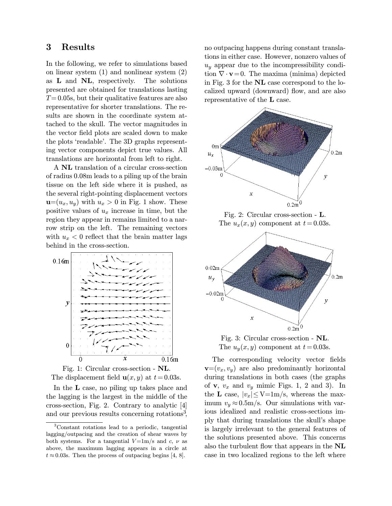## 3 Results

In the following, we refer to simulations based on linear system (1) and nonlinear system (2) as L and NL, respectively. The solutions presented are obtained for translations lasting  $T= 0.05$ s, but their qualitative features are also representative for shorter translations. The results are shown in the coordinate system attached to the skull. The vector magnitudes in the vector field plots are scaled down to make the plots 'readable'. The 3D graphs representing vector components depict true values. All translations are horizontal from left to right.

A NL translation of a circular cross-section of radius 0.08m leads to a piling up of the brain tissue on the left side where it is pushed, as the several right-pointing displacement vectors  $\mathbf{u}=(u_x, u_y)$  with  $u_x > 0$  in Fig. 1 show. These positive values of  $u_x$  increase in time, but the region they appear in remains limited to a narrow strip on the left. The remaining vectors with  $u_x < 0$  reflect that the brain matter lags behind in the cross-section.



Fig. 1: Circular cross-section - NL. The displacement field  $u(x, y)$  at  $t = 0.03$ s.

In the L case, no piling up takes place and the lagging is the largest in the middle of the cross-section, Fig. 2. Contrary to analytic [4] and our previous results concerning rotations<sup>3</sup>, no outpacing happens during constant translations in either case. However, nonzero values of  $u_y$  appear due to the incompressibility condition  $\nabla \cdot \mathbf{v} = 0$ . The maxima (minima) depicted in Fig. 3 for the NL case correspond to the localized upward (downward) flow, and are also representative of the L case.



Fig. 2: Circular cross-section - L. The  $u_x(x, y)$  component at  $t = 0.03$ s.



Fig. 3: Circular cross-section - NL. The  $u_y(x, y)$  component at  $t = 0.03$ s.

The corresponding velocity vector fields  $\mathbf{v}=(v_x, v_y)$  are also predominantly horizontal during translations in both cases (the graphs of  $v, v_x$  and  $v_y$  mimic Figs. 1, 2 and 3). In the **L** case,  $|v_x| \le V = 1$ m/s, whereas the maximum  $v_y \approx 0.5 \text{m/s}$ . Our simulations with various idealized and realistic cross-sections imply that during translations the skull's shape is largely irrelevant to the general features of the solutions presented above. This concerns also the turbulent flow that appears in the NL case in two localized regions to the left where

<sup>3</sup>Constant rotations lead to a periodic, tangential lagging/outpacing and the creation of shear waves by both systems. For a tangential  $V=1m/s$  and c,  $\nu$  as above, the maximum lagging appears in a circle at  $t \approx 0.03$ s. Then the process of outpacing begins [4, 8].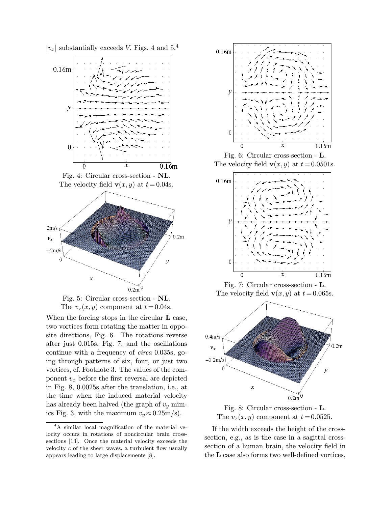$|v_x|$  substantially exceeds V, Figs. 4 and 5.<sup>4</sup>



Fig. 4: Circular cross-section - NL. The velocity field  $\mathbf{v}(x, y)$  at  $t = 0.04$ s.



The  $v_x(x, y)$  component at  $t = 0.04$ s.

When the forcing stops in the circular **L** case, two vortices form rotating the matter in opposite directions, Fig. 6. The rotations reverse after just 0.015s, Fig. 7, and the oscillations continue with a frequency of circa 0.035s, going through patterns of six, four, or just two vortices, cf. Footnote 3. The values of the component  $v_x$  before the first reversal are depicted in Fig. 8, 0.0025s after the translation, i.e., at the time when the induced material velocity has already been halved (the graph of  $v_y$  mimics Fig. 3, with the maximum  $v_y \approx 0.25 \text{m/s}$ .



Fig. 6: Circular cross-section - L. The velocity field  $\mathbf{v}(x, y)$  at  $t = 0.0501$ s.



Fig. 7: Circular cross-section - L. The velocity field  $\mathbf{v}(x, y)$  at  $t = 0.065$ s.



Fig. 8: Circular cross-section - L. The  $v_x(x, y)$  component at  $t = 0.0525$ .

If the width exceeds the height of the crosssection, e.g., as is the case in a sagittal crosssection of a human brain, the velocity field in the L case also forms two well-defined vortices,

<sup>4</sup>A similar local magnification of the material velocity occurs in rotations of noncircular brain crosssections [13]. Once the material velocity exceeds the velocity  $c$  of the sheer waves, a turbulent flow usually appears leading to large displacements [8].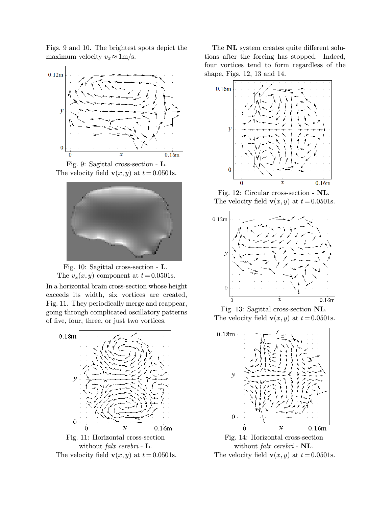Figs. 9 and 10. The brightest spots depict the maximum velocity  $v_x \approx 1 \text{m/s}.$ 



Fig. 9: Sagittal cross-section - L. The velocity field  $\mathbf{v}(x, y)$  at  $t = 0.0501$ s.





In a horizontal brain cross-section whose height exceeds its width, six vortices are created, Fig. 11. They periodically merge and reappear, going through complicated oscillatory patterns of five, four, three, or just two vortices.





The NL system creates quite different solutions after the forcing has stopped. Indeed, four vortices tend to form regardless of the shape, Figs. 12, 13 and 14.



Fig. 12: Circular cross-section - NL. The velocity field  $\mathbf{v}(x, y)$  at  $t = 0.0501$ s.



Fig. 13: Sagittal cross-section NL. The velocity field  $\mathbf{v}(x, y)$  at  $t = 0.0501$ s.



Fig. 14: Horizontal cross-section without *falx cerebri* - NL. The velocity field  $\mathbf{v}(x, y)$  at  $t = 0.0501$ s.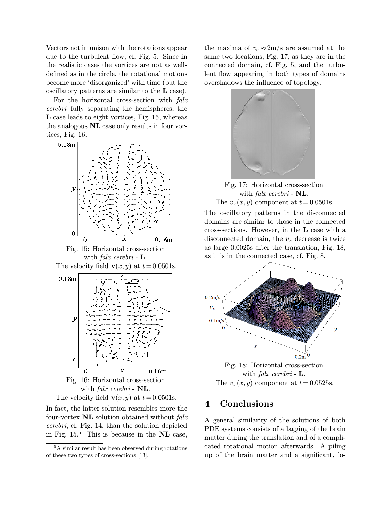Vectors not in unison with the rotations appear due to the turbulent flow, cf. Fig. 5. Since in the realistic cases the vortices are not as welldefined as in the circle, the rotational motions become more 'disorganized' with time (but the oscillatory patterns are similar to the L case).

For the horizontal cross-section with falx cerebri fully separating the hemispheres, the L case leads to eight vortices, Fig. 15, whereas the analogous NL case only results in four vortices, Fig. 16.





In fact, the latter solution resembles more the four-vortex  $NL$  solution obtained without  $f$ alx cerebri, cf. Fig. 14, than the solution depicted in Fig.  $15<sup>5</sup>$  This is because in the NL case,

the maxima of  $v_x \approx 2m/s$  are assumed at the same two locations, Fig. 17, as they are in the connected domain, cf. Fig. 5, and the turbulent flow appearing in both types of domains overshadows the influence of topology.





The oscillatory patterns in the disconnected domains are similar to those in the connected cross-sections. However, in the L case with a disconnected domain, the  $v_x$  decrease is twice as large 0.0025s after the translation, Fig. 18, as it is in the connected case, cf. Fig. 8.



Fig. 18: Horizontal cross-section with *falx cerebri* -  $\mathbf{L}$ . The  $v_x(x, y)$  component at  $t = 0.0525$ s.

## 4 Conclusions

A general similarity of the solutions of both PDE systems consists of a lagging of the brain matter during the translation and of a complicated rotational motion afterwards. A piling up of the brain matter and a significant, lo-

<sup>5</sup>A similar result has been observed during rotations of these two types of cross-sections [13].